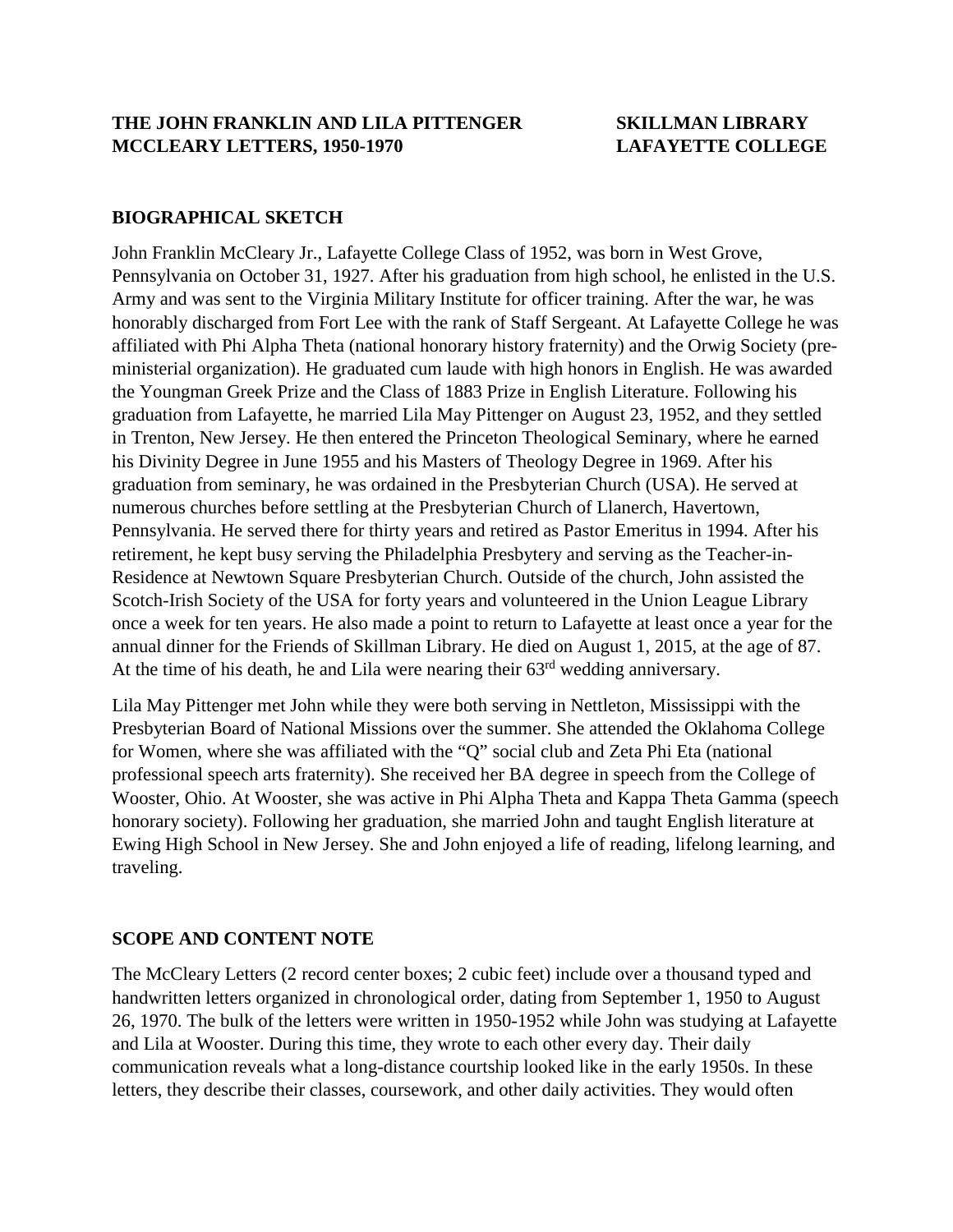## **BIOGRAPHICAL SKETCH**

John Franklin McCleary Jr., Lafayette College Class of 1952, was born in West Grove, Pennsylvania on October 31, 1927. After his graduation from high school, he enlisted in the U.S. Army and was sent to the Virginia Military Institute for officer training. After the war, he was honorably discharged from Fort Lee with the rank of Staff Sergeant. At Lafayette College he was affiliated with Phi Alpha Theta (national honorary history fraternity) and the Orwig Society (preministerial organization). He graduated cum laude with high honors in English. He was awarded the Youngman Greek Prize and the Class of 1883 Prize in English Literature. Following his graduation from Lafayette, he married Lila May Pittenger on August 23, 1952, and they settled in Trenton, New Jersey. He then entered the Princeton Theological Seminary, where he earned his Divinity Degree in June 1955 and his Masters of Theology Degree in 1969. After his graduation from seminary, he was ordained in the Presbyterian Church (USA). He served at numerous churches before settling at the Presbyterian Church of Llanerch, Havertown, Pennsylvania. He served there for thirty years and retired as Pastor Emeritus in 1994. After his retirement, he kept busy serving the Philadelphia Presbytery and serving as the Teacher-in-Residence at Newtown Square Presbyterian Church. Outside of the church, John assisted the Scotch-Irish Society of the USA for forty years and volunteered in the Union League Library once a week for ten years. He also made a point to return to Lafayette at least once a year for the annual dinner for the Friends of Skillman Library. He died on August 1, 2015, at the age of 87. At the time of his death, he and Lila were nearing their 63<sup>rd</sup> wedding anniversary.

Lila May Pittenger met John while they were both serving in Nettleton, Mississippi with the Presbyterian Board of National Missions over the summer. She attended the Oklahoma College for Women, where she was affiliated with the "Q" social club and Zeta Phi Eta (national professional speech arts fraternity). She received her BA degree in speech from the College of Wooster, Ohio. At Wooster, she was active in Phi Alpha Theta and Kappa Theta Gamma (speech honorary society). Following her graduation, she married John and taught English literature at Ewing High School in New Jersey. She and John enjoyed a life of reading, lifelong learning, and traveling.

## **SCOPE AND CONTENT NOTE**

The McCleary Letters (2 record center boxes; 2 cubic feet) include over a thousand typed and handwritten letters organized in chronological order, dating from September 1, 1950 to August 26, 1970. The bulk of the letters were written in 1950-1952 while John was studying at Lafayette and Lila at Wooster. During this time, they wrote to each other every day. Their daily communication reveals what a long-distance courtship looked like in the early 1950s. In these letters, they describe their classes, coursework, and other daily activities. They would often